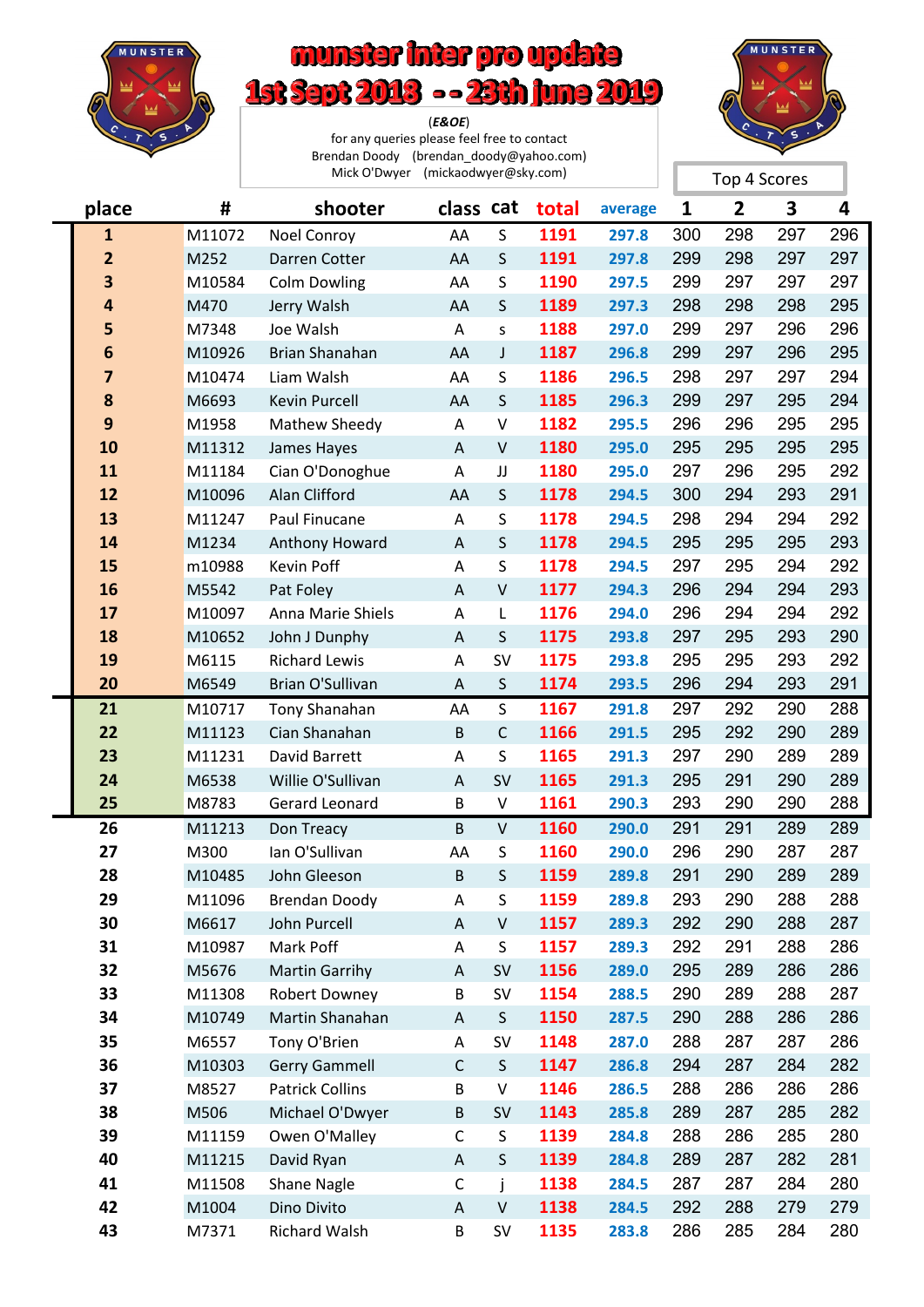

## munster inter pro update 1st Sept 2018 -- 23th june 2019

(*E&OE*) for any queries please feel free to contact Brendan Doody (brendan\_doody@yahoo.com) Mick O'Dwyer (mickaodwyer@sky.com)



|                         |        | Mick O'Dwyer (mickaodwyer@sky.com) |              |              |       |         | Top 4 Scores |     |     |     |  |
|-------------------------|--------|------------------------------------|--------------|--------------|-------|---------|--------------|-----|-----|-----|--|
| place                   | #      | shooter                            | class cat    |              | total | average | 1            | 2   | 3   | 4   |  |
| $\mathbf{1}$            | M11072 | Noel Conroy                        | AA           | S            | 1191  | 297.8   | 300          | 298 | 297 | 296 |  |
| $\mathbf{2}$            | M252   | Darren Cotter                      | AA           | $\mathsf S$  | 1191  | 297.8   | 299          | 298 | 297 | 297 |  |
| $\overline{\mathbf{3}}$ | M10584 | <b>Colm Dowling</b>                | AA           | $\mathsf S$  | 1190  | 297.5   | 299          | 297 | 297 | 297 |  |
| 4                       | M470   | Jerry Walsh                        | AA           | $\mathsf S$  | 1189  | 297.3   | 298          | 298 | 298 | 295 |  |
| 5                       | M7348  | Joe Walsh                          | Α            | S.           | 1188  | 297.0   | 299          | 297 | 296 | 296 |  |
| 6                       | M10926 | Brian Shanahan                     | AA           | J            | 1187  | 296.8   | 299          | 297 | 296 | 295 |  |
| 7                       | M10474 | Liam Walsh                         | AA           | S            | 1186  | 296.5   | 298          | 297 | 297 | 294 |  |
| 8                       | M6693  | <b>Kevin Purcell</b>               | AA           | $\mathsf{S}$ | 1185  | 296.3   | 299          | 297 | 295 | 294 |  |
| 9                       | M1958  | Mathew Sheedy                      | Α            | $\sf V$      | 1182  | 295.5   | 296          | 296 | 295 | 295 |  |
| 10                      | M11312 | James Hayes                        | $\mathsf{A}$ | $\mathsf{V}$ | 1180  | 295.0   | 295          | 295 | 295 | 295 |  |
| 11                      | M11184 | Cian O'Donoghue                    | A            | JJ           | 1180  | 295.0   | 297          | 296 | 295 | 292 |  |
| 12                      | M10096 | Alan Clifford                      | AA           | $\mathsf{S}$ | 1178  | 294.5   | 300          | 294 | 293 | 291 |  |
| 13                      | M11247 | Paul Finucane                      | Α            | S            | 1178  | 294.5   | 298          | 294 | 294 | 292 |  |
| 14                      | M1234  | Anthony Howard                     | $\mathsf A$  | S            | 1178  | 294.5   | 295          | 295 | 295 | 293 |  |
| 15                      | m10988 | Kevin Poff                         | A            | $\sf S$      | 1178  | 294.5   | 297          | 295 | 294 | 292 |  |
| 16                      | M5542  | Pat Foley                          | A            | $\sf V$      | 1177  | 294.3   | 296          | 294 | 294 | 293 |  |
| 17                      | M10097 | Anna Marie Shiels                  | A            | L            | 1176  | 294.0   | 296          | 294 | 294 | 292 |  |
| 18                      | M10652 | John J Dunphy                      | A            | S            | 1175  | 293.8   | 297          | 295 | 293 | 290 |  |
| 19                      | M6115  | <b>Richard Lewis</b>               | Α            | <b>SV</b>    | 1175  | 293.8   | 295          | 295 | 293 | 292 |  |
| 20                      | M6549  | Brian O'Sullivan                   | A            | $\mathsf S$  | 1174  | 293.5   | 296          | 294 | 293 | 291 |  |
| 21                      | M10717 | <b>Tony Shanahan</b>               | AA           | $\mathsf{S}$ | 1167  | 291.8   | 297          | 292 | 290 | 288 |  |
| 22                      | M11123 | Cian Shanahan                      | $\sf B$      | $\mathsf C$  | 1166  | 291.5   | 295          | 292 | 290 | 289 |  |
| 23                      | M11231 | David Barrett                      | Α            | S            | 1165  | 291.3   | 297          | 290 | 289 | 289 |  |
| 24                      | M6538  | Willie O'Sullivan                  | A            | <b>SV</b>    | 1165  | 291.3   | 295          | 291 | 290 | 289 |  |
| 25                      | M8783  | Gerard Leonard                     | B            | V            | 1161  | 290.3   | 293          | 290 | 290 | 288 |  |
| 26                      | M11213 | Don Treacy                         | B            | $\vee$       | 1160  | 290.0   | 291          | 291 | 289 | 289 |  |
| 27                      | M300   | Ian O'Sullivan                     | AA           | S            | 1160  | 290.0   | 296          | 290 | 287 | 287 |  |
| 28                      | M10485 | John Gleeson                       | B            | $\sf S$      | 1159  | 289.8   | 291          | 290 | 289 | 289 |  |
| 29                      | M11096 | <b>Brendan Doody</b>               | Α            | S            | 1159  | 289.8   | 293          | 290 | 288 | 288 |  |
| 30                      | M6617  | John Purcell                       | A            | $\sf V$      | 1157  | 289.3   | 292          | 290 | 288 | 287 |  |
| 31                      | M10987 | Mark Poff                          | Α            | S            | 1157  | 289.3   | 292          | 291 | 288 | 286 |  |
| 32                      | M5676  | <b>Martin Garrihy</b>              | A            | SV           | 1156  | 289.0   | 295          | 289 | 286 | 286 |  |
| 33                      | M11308 | Robert Downey                      | B            | SV           | 1154  | 288.5   | 290          | 289 | 288 | 287 |  |
| 34                      | M10749 | Martin Shanahan                    | A            | S            | 1150  | 287.5   | 290          | 288 | 286 | 286 |  |
| 35                      | M6557  | Tony O'Brien                       | Α            | SV           | 1148  | 287.0   | 288          | 287 | 287 | 286 |  |
| 36                      | M10303 | <b>Gerry Gammell</b>               | $\mathsf C$  | $\mathsf S$  | 1147  | 286.8   | 294          | 287 | 284 | 282 |  |
| 37                      | M8527  | <b>Patrick Collins</b>             | B            | V            | 1146  | 286.5   | 288          | 286 | 286 | 286 |  |
| 38                      | M506   | Michael O'Dwyer                    | B            | SV           | 1143  | 285.8   | 289          | 287 | 285 | 282 |  |
| 39                      | M11159 | Owen O'Malley                      | $\mathsf C$  | S            | 1139  | 284.8   | 288          | 286 | 285 | 280 |  |
| 40                      | M11215 | David Ryan                         | A            | $\mathsf S$  | 1139  | 284.8   | 289          | 287 | 282 | 281 |  |
| 41                      | M11508 | Shane Nagle                        | $\mathsf C$  | j            | 1138  | 284.5   | 287          | 287 | 284 | 280 |  |
| 42                      | M1004  | Dino Divito                        | A            | $\sf V$      | 1138  | 284.5   | 292          | 288 | 279 | 279 |  |
| 43                      | M7371  | <b>Richard Walsh</b>               | B            | SV           | 1135  | 283.8   | 286          | 285 | 284 | 280 |  |